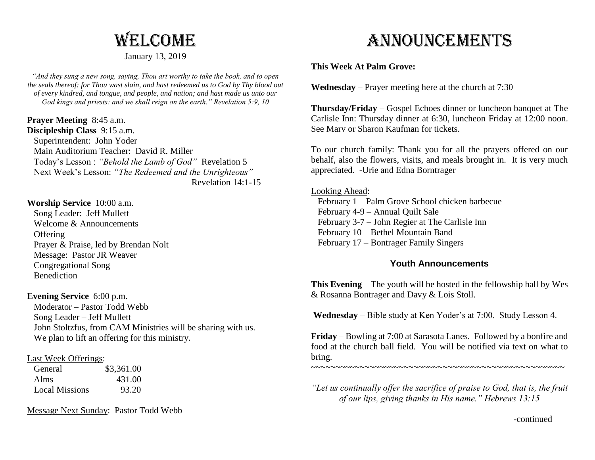# **WELCOME**

## January 13, 2019

*"And they sung a new song, saying, Thou art worthy to take the book, and to open the seals thereof: for Thou wast slain, and hast redeemed us to God by Thy blood out of every kindred, and tongue, and people, and nation; and hast made us unto our God kings and priests: and we shall reign on the earth." Revelation 5:9, 10*

**Prayer Meeting** 8:45 a.m. **Discipleship Class** 9:15 a.m. Superintendent: John Yoder Main Auditorium Teacher: David R. Miller Today's Lesson : *"Behold the Lamb of God"* Revelation 5 Next Week's Lesson: *"The Redeemed and the Unrighteous"* Revelation 14:1-15

## **Worship Service** 10:00 a.m.

 Song Leader: Jeff Mullett Welcome & Announcements **Offering**  Prayer & Praise, led by Brendan Nolt Message: Pastor JR Weaver Congregational Song Benediction

## **Evening Service** 6:00 p.m.

 Moderator – Pastor Todd Webb Song Leader – Jeff Mullett John Stoltzfus, from CAM Ministries will be sharing with us. We plan to lift an offering for this ministry.

## Last Week Offerings:

| General               | \$3,361.00 |
|-----------------------|------------|
| Alms                  | 431.00     |
| <b>Local Missions</b> | 93.20      |

Message Next Sunday: Pastor Todd Webb

# Announcements

# **This Week At Palm Grove:**

**Wednesday** – Prayer meeting here at the church at 7:30

**Thursday/Friday** – Gospel Echoes dinner or luncheon banquet at The Carlisle Inn: Thursday dinner at 6:30, luncheon Friday at 12:00 noon. See Marv or Sharon Kaufman for tickets.

To our church family: Thank you for all the prayers offered on our behalf, also the flowers, visits, and meals brought in. It is very much appreciated. -Urie and Edna Borntrager

## Looking Ahead:

 February 1 – Palm Grove School chicken barbecue February 4-9 – Annual Quilt Sale February 3-7 – John Regier at The Carlisle Inn February 10 – Bethel Mountain Band February 17 – Bontrager Family Singers

# **Youth Announcements**

**This Evening** – The youth will be hosted in the fellowship hall by Wes & Rosanna Bontrager and Davy & Lois Stoll.

**Wednesday** – Bible study at Ken Yoder's at 7:00. Study Lesson 4.

**Friday** – Bowling at 7:00 at Sarasota Lanes. Followed by a bonfire and food at the church ball field. You will be notified via text on what to bring.

~~~~~~~~~~~~~~~~~~~~~~~~~~~~~~~~~~~~~~~~~~~~~~~~~~~~

*"Let us continually offer the sacrifice of praise to God, that is, the fruit of our lips, giving thanks in His name." Hebrews 13:15*

-continued